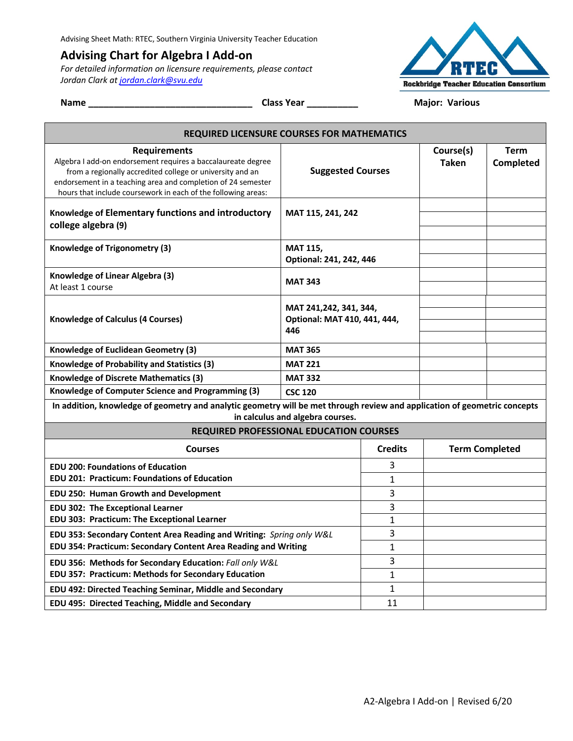## **Advising Chart for Algebra I Add-on**

*For detailed information on licensure requirements, please contact Jordan Clark at jordan.clark@svu.edu*



**Name \_\_\_\_\_\_\_\_\_\_\_\_\_\_\_\_\_\_\_\_\_\_\_\_\_\_\_\_\_\_\_\_ Class Year \_\_\_\_\_\_\_\_\_\_ Major: Various**

| <b>REQUIRED LICENSURE COURSES FOR MATHEMATICS</b>                                                                                                                                                                                                                                 |                                                               |                |                           |                          |  |
|-----------------------------------------------------------------------------------------------------------------------------------------------------------------------------------------------------------------------------------------------------------------------------------|---------------------------------------------------------------|----------------|---------------------------|--------------------------|--|
| <b>Requirements</b><br>Algebra I add-on endorsement requires a baccalaureate degree<br>from a regionally accredited college or university and an<br>endorsement in a teaching area and completion of 24 semester<br>hours that include coursework in each of the following areas: | <b>Suggested Courses</b>                                      |                | Course(s)<br><b>Taken</b> | <b>Term</b><br>Completed |  |
| Knowledge of Elementary functions and introductory<br>college algebra (9)                                                                                                                                                                                                         | MAT 115, 241, 242                                             |                |                           |                          |  |
| Knowledge of Trigonometry (3)                                                                                                                                                                                                                                                     | <b>MAT 115,</b><br>Optional: 241, 242, 446                    |                |                           |                          |  |
| Knowledge of Linear Algebra (3)<br>At least 1 course                                                                                                                                                                                                                              | <b>MAT 343</b>                                                |                |                           |                          |  |
| <b>Knowledge of Calculus (4 Courses)</b>                                                                                                                                                                                                                                          | MAT 241,242, 341, 344,<br>Optional: MAT 410, 441, 444,<br>446 |                |                           |                          |  |
| Knowledge of Euclidean Geometry (3)                                                                                                                                                                                                                                               | <b>MAT 365</b>                                                |                |                           |                          |  |
| Knowledge of Probability and Statistics (3)                                                                                                                                                                                                                                       | <b>MAT 221</b>                                                |                |                           |                          |  |
| <b>Knowledge of Discrete Mathematics (3)</b>                                                                                                                                                                                                                                      | <b>MAT 332</b>                                                |                |                           |                          |  |
| Knowledge of Computer Science and Programming (3)                                                                                                                                                                                                                                 | <b>CSC 120</b>                                                |                |                           |                          |  |
| In addition, knowledge of geometry and analytic geometry will be met through review and application of geometric concepts<br>in calculus and algebra courses.                                                                                                                     |                                                               |                |                           |                          |  |
| <b>REQUIRED PROFESSIONAL EDUCATION COURSES</b>                                                                                                                                                                                                                                    |                                                               |                |                           |                          |  |
| <b>Courses</b>                                                                                                                                                                                                                                                                    |                                                               | <b>Credits</b> | <b>Term Completed</b>     |                          |  |
| <b>EDU 200: Foundations of Education</b>                                                                                                                                                                                                                                          |                                                               | 3              |                           |                          |  |
| <b>EDU 201: Practicum: Foundations of Education</b>                                                                                                                                                                                                                               |                                                               | 1              |                           |                          |  |
| EDU 250: Human Growth and Development                                                                                                                                                                                                                                             |                                                               | 3              |                           |                          |  |
| <b>EDU 302: The Exceptional Learner</b>                                                                                                                                                                                                                                           |                                                               | 3              |                           |                          |  |
| EDU 303: Practicum: The Exceptional Learner                                                                                                                                                                                                                                       |                                                               | 1              |                           |                          |  |
| EDU 353: Secondary Content Area Reading and Writing: Spring only W&L                                                                                                                                                                                                              |                                                               | 3              |                           |                          |  |
| EDU 354: Practicum: Secondary Content Area Reading and Writing                                                                                                                                                                                                                    |                                                               | $\mathbf{1}$   |                           |                          |  |
| EDU 356: Methods for Secondary Education: Fall only W&L<br>EDU 357: Practicum: Methods for Secondary Education                                                                                                                                                                    |                                                               | 3<br>1         |                           |                          |  |
|                                                                                                                                                                                                                                                                                   |                                                               | $\mathbf{1}$   |                           |                          |  |
| EDU 492: Directed Teaching Seminar, Middle and Secondary<br>EDU 495: Directed Teaching, Middle and Secondary                                                                                                                                                                      |                                                               | 11             |                           |                          |  |
|                                                                                                                                                                                                                                                                                   |                                                               |                |                           |                          |  |